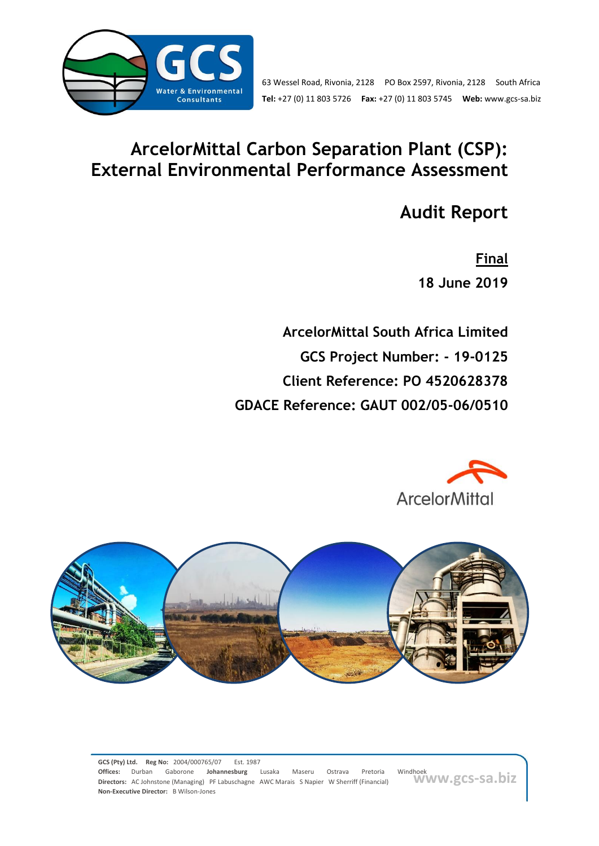

# **ArcelorMittal Carbon Separation Plant (CSP): External Environmental Performance Assessment**

**Audit Report**

**Final 18 June 2019**

**ArcelorMittal South Africa Limited GCS Project Number: - 19-0125 Client Reference: PO 4520628378 GDACE Reference: GAUT 002/05-06/0510**





**www.gcs-sa.biz**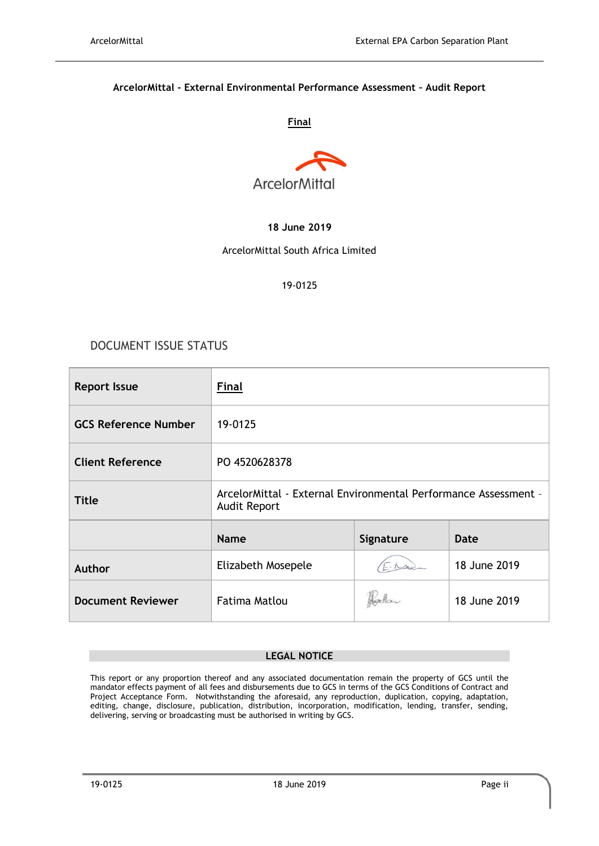#### **ArcelorMittal - External Environmental Performance Assessment – Audit Report**

#### **Final**



#### **18 June 2019**

#### ArcelorMittal South Africa Limited

#### 19-0125

# DOCUMENT ISSUE STATUS

| <b>Report Issue</b>         | <b>Final</b>                                                                           |  |              |  |
|-----------------------------|----------------------------------------------------------------------------------------|--|--------------|--|
| <b>GCS Reference Number</b> | 19-0125                                                                                |  |              |  |
| <b>Client Reference</b>     | PO 4520628378                                                                          |  |              |  |
| <b>Title</b>                | ArcelorMittal - External Environmental Performance Assessment -<br><b>Audit Report</b> |  |              |  |
|                             | <b>Name</b><br>Signature<br>Date                                                       |  |              |  |
| Author                      | Elizabeth Mosepele                                                                     |  | 18 June 2019 |  |
| <b>Document Reviewer</b>    | <b>Fatima Matlou</b>                                                                   |  | 18 June 2019 |  |

#### **LEGAL NOTICE**

This report or any proportion thereof and any associated documentation remain the property of GCS until the mandator effects payment of all fees and disbursements due to GCS in terms of the GCS Conditions of Contract and Project Acceptance Form. Notwithstanding the aforesaid, any reproduction, duplication, copying, adaptation, editing, change, disclosure, publication, distribution, incorporation, modification, lending, transfer, sending, delivering, serving or broadcasting must be authorised in writing by GCS.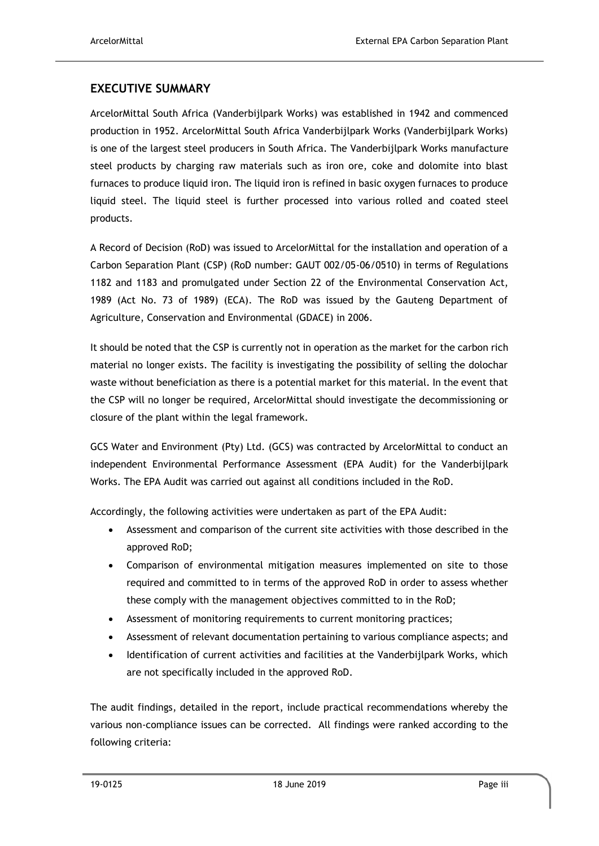# **EXECUTIVE SUMMARY**

ArcelorMittal South Africa (Vanderbijlpark Works) was established in 1942 and commenced production in 1952. ArcelorMittal South Africa Vanderbijlpark Works (Vanderbijlpark Works) is one of the largest steel producers in South Africa. The Vanderbijlpark Works manufacture steel products by charging raw materials such as iron ore, coke and dolomite into blast furnaces to produce liquid iron. The liquid iron is refined in basic oxygen furnaces to produce liquid steel. The liquid steel is further processed into various rolled and coated steel products.

A Record of Decision (RoD) was issued to ArcelorMittal for the installation and operation of a Carbon Separation Plant (CSP) (RoD number: GAUT 002/05-06/0510) in terms of Regulations 1182 and 1183 and promulgated under Section 22 of the Environmental Conservation Act, 1989 (Act No. 73 of 1989) (ECA). The RoD was issued by the Gauteng Department of Agriculture, Conservation and Environmental (GDACE) in 2006.

It should be noted that the CSP is currently not in operation as the market for the carbon rich material no longer exists. The facility is investigating the possibility of selling the dolochar waste without beneficiation as there is a potential market for this material. In the event that the CSP will no longer be required, ArcelorMittal should investigate the decommissioning or closure of the plant within the legal framework.

GCS Water and Environment (Pty) Ltd. (GCS) was contracted by ArcelorMittal to conduct an independent Environmental Performance Assessment (EPA Audit) for the Vanderbijlpark Works. The EPA Audit was carried out against all conditions included in the RoD.

Accordingly, the following activities were undertaken as part of the EPA Audit:

- Assessment and comparison of the current site activities with those described in the approved RoD;
- Comparison of environmental mitigation measures implemented on site to those required and committed to in terms of the approved RoD in order to assess whether these comply with the management objectives committed to in the RoD;
- Assessment of monitoring requirements to current monitoring practices;
- Assessment of relevant documentation pertaining to various compliance aspects; and
- Identification of current activities and facilities at the Vanderbijlpark Works, which are not specifically included in the approved RoD.

The audit findings, detailed in the report, include practical recommendations whereby the various non-compliance issues can be corrected. All findings were ranked according to the following criteria: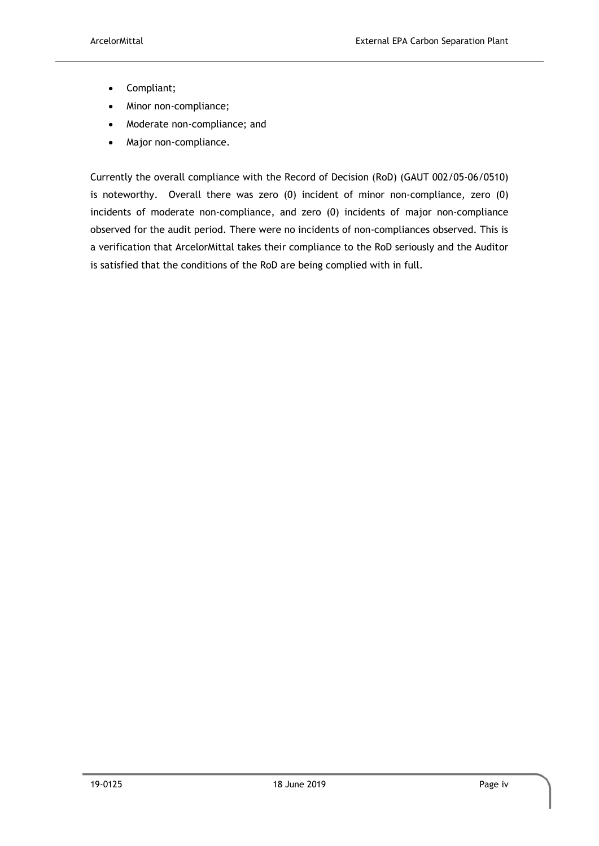- Compliant;
- Minor non-compliance;
- Moderate non-compliance; and
- Major non-compliance.

Currently the overall compliance with the Record of Decision (RoD) (GAUT 002/05-06/0510) is noteworthy. Overall there was zero (0) incident of minor non-compliance, zero (0) incidents of moderate non-compliance, and zero (0) incidents of major non-compliance observed for the audit period. There were no incidents of non-compliances observed. This is a verification that ArcelorMittal takes their compliance to the RoD seriously and the Auditor is satisfied that the conditions of the RoD are being complied with in full.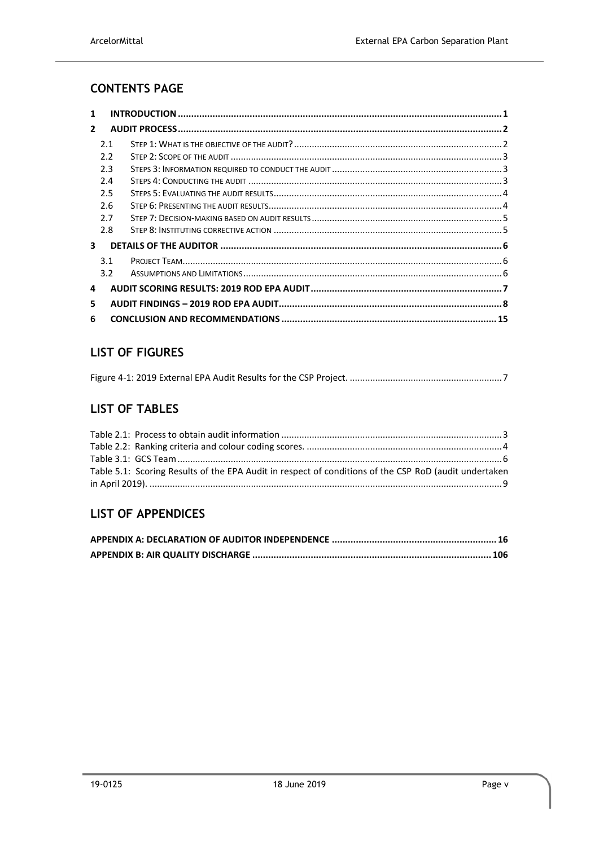# **CONTENTS PAGE**

| 1             |     |  |
|---------------|-----|--|
| $\mathcal{P}$ |     |  |
|               | 2.1 |  |
|               | 2.2 |  |
|               | 2.3 |  |
|               | 2.4 |  |
|               | 2.5 |  |
|               | 2.6 |  |
|               | 2.7 |  |
|               | 2.8 |  |
| 3             |     |  |
|               | 3.1 |  |
|               | 3.2 |  |
| 4             |     |  |
| 5.            |     |  |
| 6             |     |  |

# **LIST OF FIGURES**

# **LIST OF TABLES**

| Table 5.1: Scoring Results of the EPA Audit in respect of conditions of the CSP RoD (audit undertaken |  |
|-------------------------------------------------------------------------------------------------------|--|
|                                                                                                       |  |

# **LIST OF APPENDICES**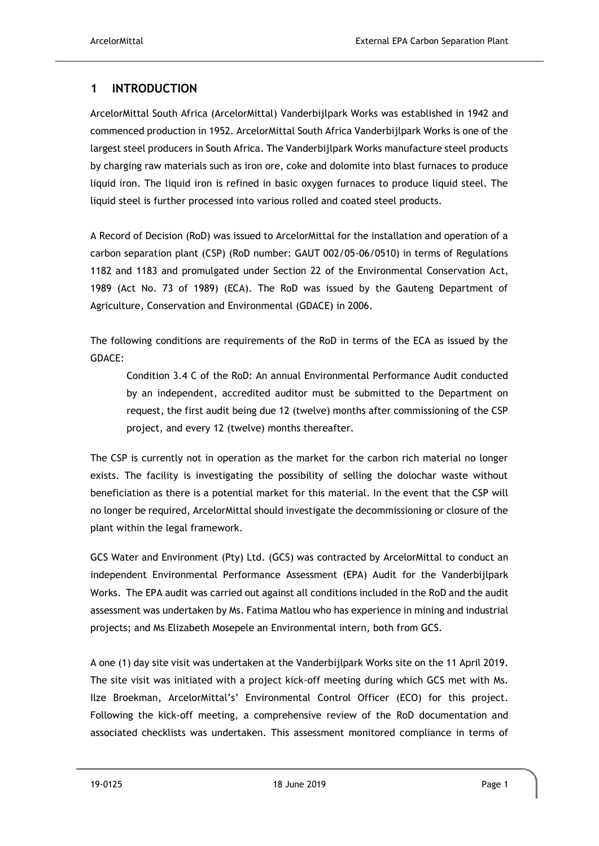# <span id="page-5-0"></span>**1 INTRODUCTION**

ArcelorMittal South Africa (ArcelorMittal) Vanderbijlpark Works was established in 1942 and commenced production in 1952. ArcelorMittal South Africa Vanderbijlpark Works is one of the largest steel producers in South Africa. The Vanderbijlpark Works manufacture steel products by charging raw materials such as iron ore, coke and dolomite into blast furnaces to produce liquid iron. The liquid iron is refined in basic oxygen furnaces to produce liquid steel. The liquid steel is further processed into various rolled and coated steel products.

A Record of Decision (RoD) was issued to ArcelorMittal for the installation and operation of a carbon separation plant (CSP) (RoD number: GAUT 002/05-06/0510) in terms of Regulations 1182 and 1183 and promulgated under Section 22 of the Environmental Conservation Act, 1989 (Act No. 73 of 1989) (ECA). The RoD was issued by the Gauteng Department of Agriculture, Conservation and Environmental (GDACE) in 2006.

The following conditions are requirements of the RoD in terms of the ECA as issued by the GDACE:

Condition 3.4 C of the RoD: An annual Environmental Performance Audit conducted by an independent, accredited auditor must be submitted to the Department on request, the first audit being due 12 (twelve) months after commissioning of the CSP project, and every 12 (twelve) months thereafter.

The CSP is currently not in operation as the market for the carbon rich material no longer exists. The facility is investigating the possibility of selling the dolochar waste without beneficiation as there is a potential market for this material. In the event that the CSP will no longer be required, ArcelorMittal should investigate the decommissioning or closure of the plant within the legal framework.

GCS Water and Environment (Pty) Ltd. (GCS) was contracted by ArcelorMittal to conduct an independent Environmental Performance Assessment (EPA) Audit for the Vanderbijlpark Works. The EPA audit was carried out against all conditions included in the RoD and the audit assessment was undertaken by Ms. Fatima Matlou who has experience in mining and industrial projects; and Ms Elizabeth Mosepele an Environmental intern, both from GCS.

A one (1) day site visit was undertaken at the Vanderbijlpark Works site on the 11 April 2019. The site visit was initiated with a project kick-off meeting during which GCS met with Ms. Ilze Broekman, ArcelorMittal's' Environmental Control Officer (ECO) for this project. Following the kick-off meeting, a comprehensive review of the RoD documentation and associated checklists was undertaken. This assessment monitored compliance in terms of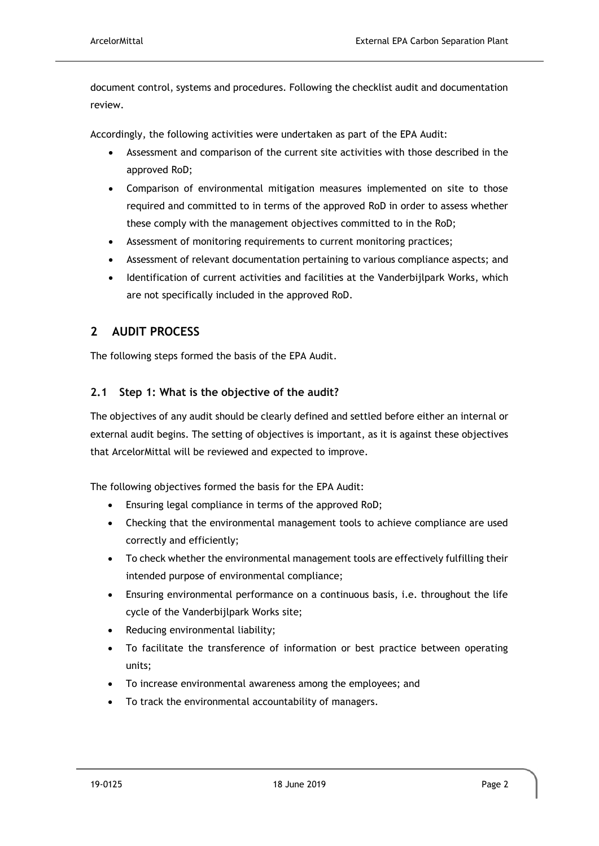document control, systems and procedures. Following the checklist audit and documentation review.

Accordingly, the following activities were undertaken as part of the EPA Audit:

- Assessment and comparison of the current site activities with those described in the approved RoD;
- Comparison of environmental mitigation measures implemented on site to those required and committed to in terms of the approved RoD in order to assess whether these comply with the management objectives committed to in the RoD;
- Assessment of monitoring requirements to current monitoring practices;
- Assessment of relevant documentation pertaining to various compliance aspects; and
- Identification of current activities and facilities at the Vanderbijlpark Works, which are not specifically included in the approved RoD.

# <span id="page-6-0"></span>**2 AUDIT PROCESS**

The following steps formed the basis of the EPA Audit.

## <span id="page-6-1"></span>**2.1 Step 1: What is the objective of the audit?**

The objectives of any audit should be clearly defined and settled before either an internal or external audit begins. The setting of objectives is important, as it is against these objectives that ArcelorMittal will be reviewed and expected to improve.

The following objectives formed the basis for the EPA Audit:

- Ensuring legal compliance in terms of the approved RoD;
- Checking that the environmental management tools to achieve compliance are used correctly and efficiently;
- To check whether the environmental management tools are effectively fulfilling their intended purpose of environmental compliance;
- Ensuring environmental performance on a continuous basis, i.e. throughout the life cycle of the Vanderbijlpark Works site;
- Reducing environmental liability;
- To facilitate the transference of information or best practice between operating units;
- To increase environmental awareness among the employees; and
- To track the environmental accountability of managers.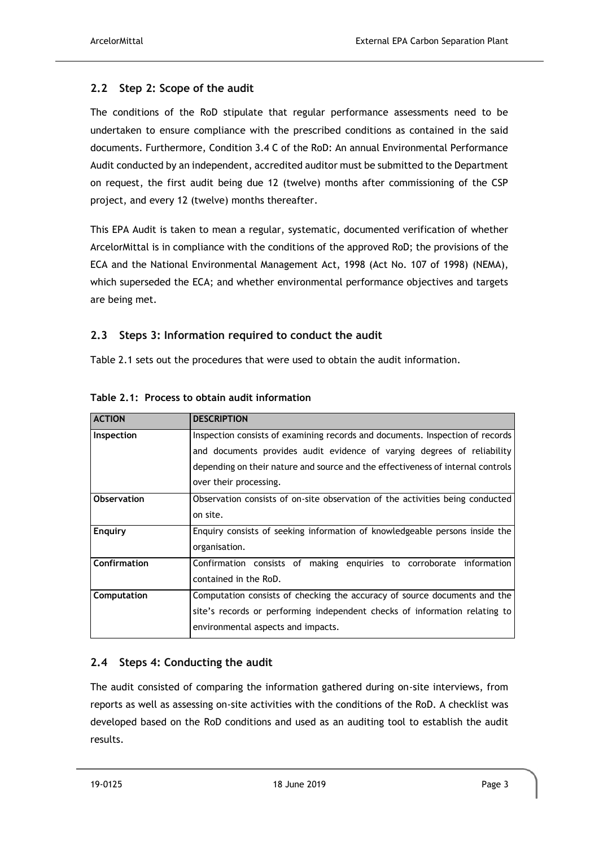## <span id="page-7-0"></span>**2.2 Step 2: Scope of the audit**

The conditions of the RoD stipulate that regular performance assessments need to be undertaken to ensure compliance with the prescribed conditions as contained in the said documents. Furthermore, Condition 3.4 C of the RoD: An annual Environmental Performance Audit conducted by an independent, accredited auditor must be submitted to the Department on request, the first audit being due 12 (twelve) months after commissioning of the CSP project, and every 12 (twelve) months thereafter.

This EPA Audit is taken to mean a regular, systematic, documented verification of whether ArcelorMittal is in compliance with the conditions of the approved RoD; the provisions of the ECA and the National Environmental Management Act, 1998 (Act No. 107 of 1998) (NEMA), which superseded the ECA; and whether environmental performance objectives and targets are being met.

## <span id="page-7-1"></span>**2.3 Steps 3: Information required to conduct the audit**

[Table 2.1](#page-7-3) sets out the procedures that were used to obtain the audit information.

| <b>ACTION</b>      | <b>DESCRIPTION</b>                                                              |  |
|--------------------|---------------------------------------------------------------------------------|--|
| Inspection         | Inspection consists of examining records and documents. Inspection of records   |  |
|                    | and documents provides audit evidence of varying degrees of reliability         |  |
|                    | depending on their nature and source and the effectiveness of internal controls |  |
|                    | over their processing.                                                          |  |
| <b>Observation</b> | Observation consists of on-site observation of the activities being conducted   |  |
|                    | on site.                                                                        |  |
| <b>Enquiry</b>     | Enquiry consists of seeking information of knowledgeable persons inside the     |  |
|                    | organisation.                                                                   |  |
| Confirmation       | Confirmation consists of making enguiries to corroborate information            |  |
|                    | contained in the RoD.                                                           |  |
| Computation        | Computation consists of checking the accuracy of source documents and the       |  |
|                    | site's records or performing independent checks of information relating to      |  |
|                    | environmental aspects and impacts.                                              |  |

<span id="page-7-3"></span>**Table 2.1: Process to obtain audit information**

# <span id="page-7-2"></span>**2.4 Steps 4: Conducting the audit**

The audit consisted of comparing the information gathered during on-site interviews, from reports as well as assessing on-site activities with the conditions of the RoD. A checklist was developed based on the RoD conditions and used as an auditing tool to establish the audit results.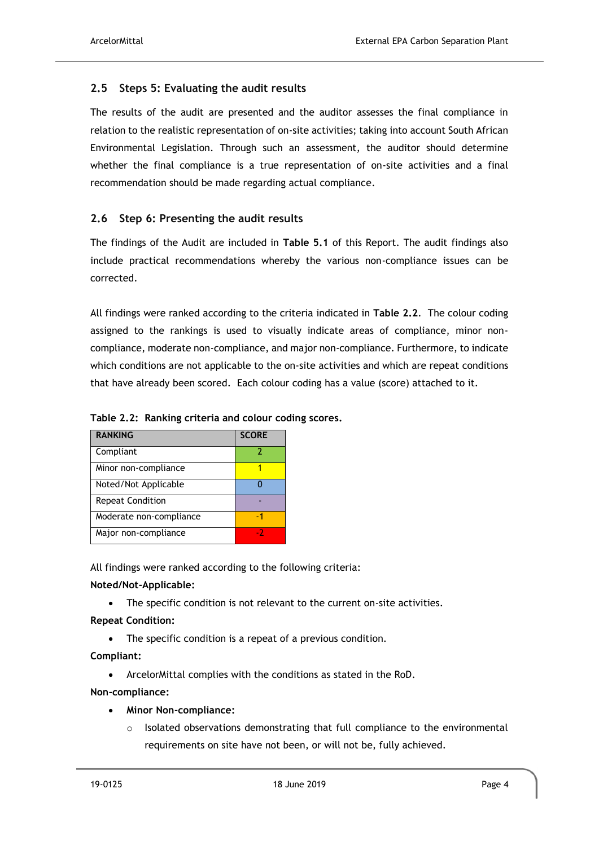## <span id="page-8-0"></span>**2.5 Steps 5: Evaluating the audit results**

The results of the audit are presented and the auditor assesses the final compliance in relation to the realistic representation of on-site activities; taking into account South African Environmental Legislation. Through such an assessment, the auditor should determine whether the final compliance is a true representation of on-site activities and a final recommendation should be made regarding actual compliance.

## <span id="page-8-1"></span>**2.6 Step 6: Presenting the audit results**

The findings of the Audit are included in **[Table 5.1](#page-13-0)** of this Report. The audit findings also include practical recommendations whereby the various non-compliance issues can be corrected.

All findings were ranked according to the criteria indicated in **[Table 2.2](#page-8-2)**. The colour coding assigned to the rankings is used to visually indicate areas of compliance, minor noncompliance, moderate non-compliance, and major non-compliance. Furthermore, to indicate which conditions are not applicable to the on-site activities and which are repeat conditions that have already been scored. Each colour coding has a value (score) attached to it.

| <b>RANKING</b>          | <b>SCORE</b> |
|-------------------------|--------------|
| Compliant               |              |
| Minor non-compliance    |              |
| Noted/Not Applicable    |              |
| <b>Repeat Condition</b> |              |
| Moderate non-compliance | - 1          |
| Major non-compliance    |              |

#### <span id="page-8-2"></span>**Table 2.2: Ranking criteria and colour coding scores.**

All findings were ranked according to the following criteria:

#### **Noted/Not-Applicable:**

• The specific condition is not relevant to the current on-site activities.

#### **Repeat Condition:**

• The specific condition is a repeat of a previous condition.

**Compliant:**

• ArcelorMittal complies with the conditions as stated in the RoD.

#### **Non-compliance:**

- **Minor Non-compliance:**
	- Isolated observations demonstrating that full compliance to the environmental requirements on site have not been, or will not be, fully achieved.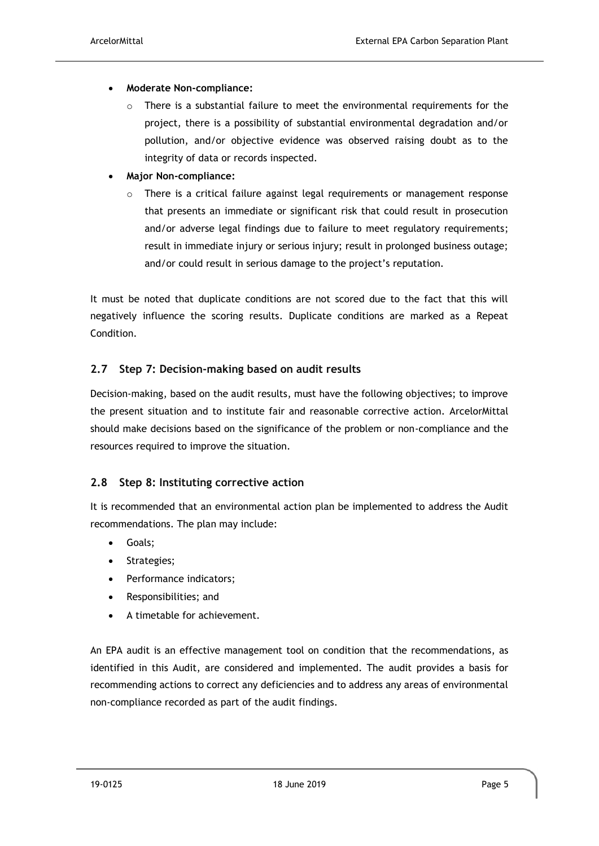- **Moderate Non-compliance:**
	- $\circ$  There is a substantial failure to meet the environmental requirements for the project, there is a possibility of substantial environmental degradation and/or pollution, and/or objective evidence was observed raising doubt as to the integrity of data or records inspected.
- **Major Non-compliance:**
	- There is a critical failure against legal requirements or management response that presents an immediate or significant risk that could result in prosecution and/or adverse legal findings due to failure to meet regulatory requirements; result in immediate injury or serious injury; result in prolonged business outage; and/or could result in serious damage to the project's reputation.

It must be noted that duplicate conditions are not scored due to the fact that this will negatively influence the scoring results. Duplicate conditions are marked as a Repeat Condition.

#### <span id="page-9-0"></span>**2.7 Step 7: Decision-making based on audit results**

Decision-making, based on the audit results, must have the following objectives; to improve the present situation and to institute fair and reasonable corrective action. ArcelorMittal should make decisions based on the significance of the problem or non-compliance and the resources required to improve the situation.

#### <span id="page-9-1"></span>**2.8 Step 8: Instituting corrective action**

It is recommended that an environmental action plan be implemented to address the Audit recommendations. The plan may include:

- Goals;
- Strategies;
- Performance indicators;
- Responsibilities; and
- A timetable for achievement.

An EPA audit is an effective management tool on condition that the recommendations, as identified in this Audit, are considered and implemented. The audit provides a basis for recommending actions to correct any deficiencies and to address any areas of environmental non-compliance recorded as part of the audit findings.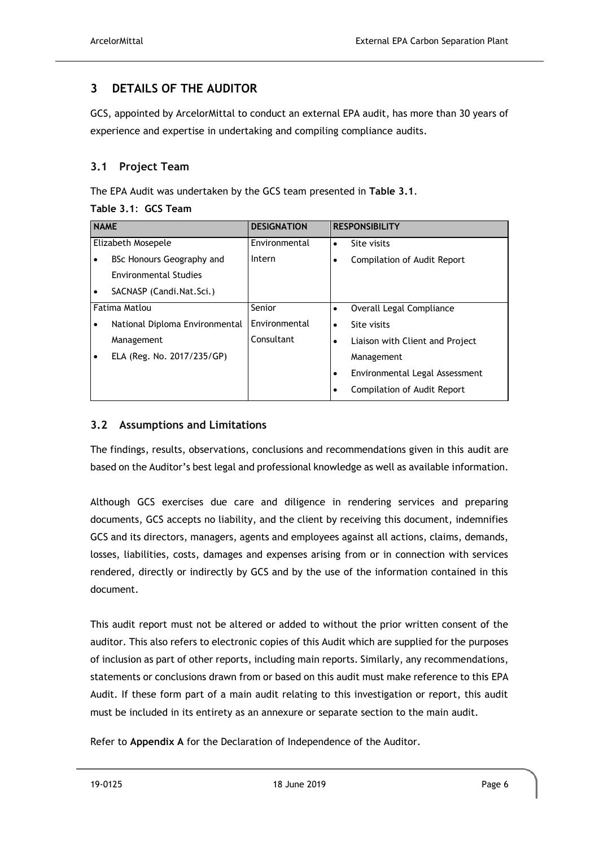# <span id="page-10-0"></span>**3 DETAILS OF THE AUDITOR**

GCS, appointed by ArcelorMittal to conduct an external EPA audit, has more than 30 years of experience and expertise in undertaking and compiling compliance audits.

## <span id="page-10-1"></span>**3.1 Project Team**

The EPA Audit was undertaken by the GCS team presented in **[Table 3.1](#page-10-3)**.

#### <span id="page-10-3"></span>**Table 3.1**: **GCS Team**

| <b>NAME</b>                     | <b>DESIGNATION</b> | <b>RESPONSIBILITY</b>                   |  |
|---------------------------------|--------------------|-----------------------------------------|--|
| Elizabeth Mosepele              | Environmental      | Site visits                             |  |
| BSc Honours Geography and       | Intern             | <b>Compilation of Audit Report</b><br>٠ |  |
| <b>Environmental Studies</b>    |                    |                                         |  |
| SACNASP (Candi.Nat.Sci.)<br>٠   |                    |                                         |  |
| Fatima Matlou                   | Senior             | Overall Legal Compliance<br>٠           |  |
| National Diploma Environmental  | Environmental      | Site visits<br>$\bullet$                |  |
| Management                      | Consultant         | Liaison with Client and Project<br>٠    |  |
| ELA (Reg. No. 2017/235/GP)<br>٠ |                    | Management                              |  |
|                                 |                    | Environmental Legal Assessment<br>٠     |  |
|                                 |                    | <b>Compilation of Audit Report</b><br>٠ |  |

# <span id="page-10-2"></span>**3.2 Assumptions and Limitations**

The findings, results, observations, conclusions and recommendations given in this audit are based on the Auditor's best legal and professional knowledge as well as available information.

Although GCS exercises due care and diligence in rendering services and preparing documents, GCS accepts no liability, and the client by receiving this document, indemnifies GCS and its directors, managers, agents and employees against all actions, claims, demands, losses, liabilities, costs, damages and expenses arising from or in connection with services rendered, directly or indirectly by GCS and by the use of the information contained in this document.

This audit report must not be altered or added to without the prior written consent of the auditor. This also refers to electronic copies of this Audit which are supplied for the purposes of inclusion as part of other reports, including main reports. Similarly, any recommendations, statements or conclusions drawn from or based on this audit must make reference to this EPA Audit. If these form part of a main audit relating to this investigation or report, this audit must be included in its entirety as an annexure or separate section to the main audit.

Refer to **Appendix A** for the Declaration of Independence of the Auditor.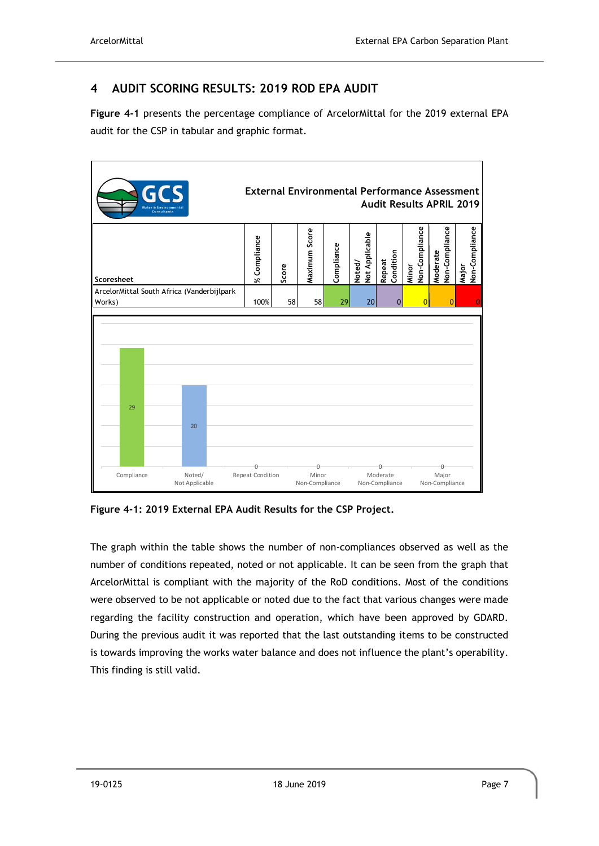# <span id="page-11-0"></span>**4 AUDIT SCORING RESULTS: 2019 ROD EPA AUDIT**

**[Figure 4-1](#page-11-1)** presents the percentage compliance of ArcelorMittal for the 2019 external EPA audit for the CSP in tabular and graphic format.



<span id="page-11-1"></span>**Figure 4-1: 2019 External EPA Audit Results for the CSP Project.**

The graph within the table shows the number of non-compliances observed as well as the number of conditions repeated, noted or not applicable. It can be seen from the graph that ArcelorMittal is compliant with the majority of the RoD conditions. Most of the conditions were observed to be not applicable or noted due to the fact that various changes were made regarding the facility construction and operation, which have been approved by GDARD. During the previous audit it was reported that the last outstanding items to be constructed is towards improving the works water balance and does not influence the plant's operability. This finding is still valid.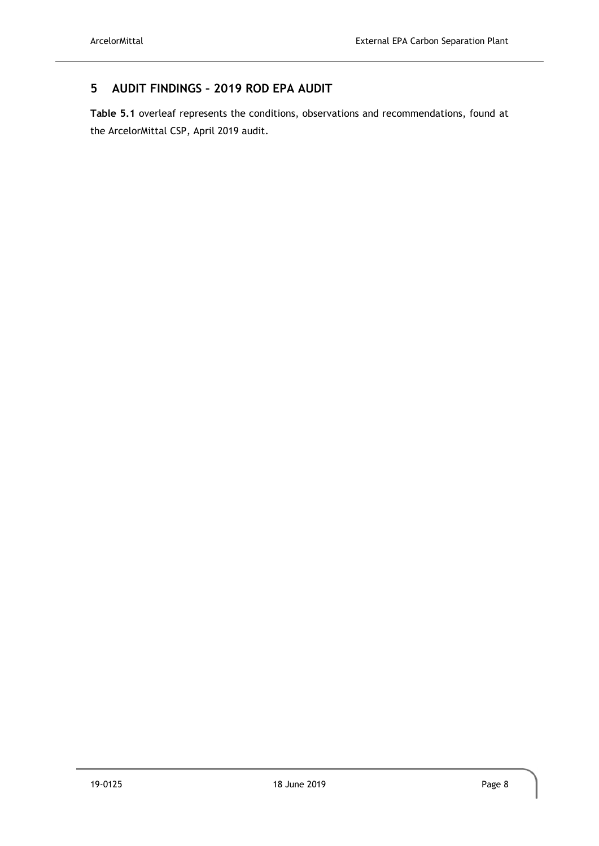# <span id="page-12-0"></span>**5 AUDIT FINDINGS – 2019 ROD EPA AUDIT**

**[Table 5.1](#page-13-0)** overleaf represents the conditions, observations and recommendations, found at the ArcelorMittal CSP, April 2019 audit.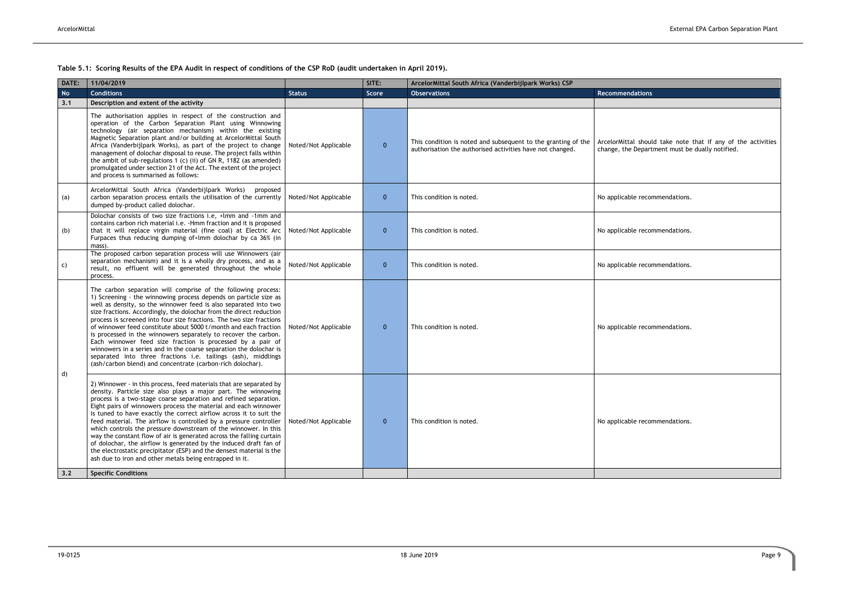<span id="page-13-0"></span>**Table 5.1: Scoring Results of the EPA Audit in respect of conditions of the CSP RoD (audit undertaken in April 2019).**

| Recommendations                                                                                                 |
|-----------------------------------------------------------------------------------------------------------------|
| ArcelorMittal should take note that if any of the activities<br>change, the Department must be dually notified. |
| No applicable recommendations.                                                                                  |
| No applicable recommendations.                                                                                  |
| No applicable recommendations.                                                                                  |
| No applicable recommendations.                                                                                  |
| No applicable recommendations.                                                                                  |
|                                                                                                                 |

| <b>No</b><br><b>Conditions</b><br><b>Observations</b><br>Recommendations<br>Score<br><b>Status</b><br>Description and extent of the activity<br>3.1<br>The authorisation applies in respect of the construction and<br>operation of the Carbon Separation Plant using Winnowing<br>technology (air separation mechanism) within the existing<br>Magnetic Separation plant and/or building at ArcelorMittal South<br>This condition is noted and subsequent to the granting of the<br>Africa (Vanderbijlpark Works), as part of the project to change<br>$\mathbf{0}$<br>Noted/Not Applicable<br>authorisation the authorised activities have not changed.<br>management of dolochar disposal to reuse. The project falls within<br>the ambit of sub-regulations 1 (c) (ii) of GN R, 1182 (as amended)<br>promulgated under section 21 of the Act. The extent of the project<br>and process is summarised as follows:<br>ArcelorMittal South Africa (Vanderbijlpark Works)<br>proposed<br>$\mathbf 0$<br>carbon separation process entails the utilisation of the currently<br>Noted/Not Applicable<br>This condition is noted.<br>(a)<br>dumped by-product called dolochar.<br>Dolochar consists of two size fractions i.e, +lmm and -1mm and<br>contains carbon rich material i.e. - Hmm fraction and it is proposed<br>that it will replace virgin material (fine coal) at Electric Arc<br>$\mathbf 0$<br>Noted/Not Applicable<br>This condition is noted.<br>(b)<br>Furpaces thus reducing dumping of+lmm dolochar by ca 36% (in<br>mass).<br>The proposed carbon separation process will use Winnowers (air<br>separation mechanism) and it is a wholly dry process, and as a<br>Noted/Not Applicable<br>$\mathbf{0}$<br>This condition is noted.<br>C)<br>result, no effluent will be generated throughout the whole<br>process.<br>The carbon separation will comprise of the following process:<br>1) Screening - the winnowing process depends on particle size as<br>well as density, so the winnower feed is also separated into two<br>size fractions. Accordingly, the dolochar from the direct reduction<br>process is screened into four size fractions. The two size fractions<br>of winnower feed constitute about 5000 t/month and each fraction<br>Noted/Not Applicable<br>$\mathbf{0}$<br>This condition is noted.<br>is processed in the winnowers separately to recover the carbon.<br>Each winnower feed size fraction is processed by a pair of<br>winnowers in a series and in the coarse separation the dolochar is<br>separated into three fractions i.e. tailings (ash), middlings<br>(ash/carbon blend) and concentrate (carbon-rich dolochar).<br>$\mathsf{d}$<br>2) Winnower - in this process, feed materials that are separated by<br>density. Particle size also plays a major part. The winnowing<br>process is a two-stage coarse separation and refined separation.<br>Eight pairs of winnowers process the material and each winnower<br>is tuned to have exactly the correct airflow across it to suit the<br>feed material. The airflow is controlled by a pressure controller<br>$\mathbf{0}$<br>Noted/Not Applicable<br>This condition is noted.<br>which controls the pressure downstream of the winnower. In this<br>way the constant flow of air is generated across the falling curtain<br>of dolochar, the airflow is generated by the induced draft fan of<br>the electrostatic precipitator (ESP) and the densest material is the<br>ash due to iron and other metals being entrapped in it.<br><b>Specific Conditions</b><br>3.2 | DATE: | 11/04/2019 | SITE: | ArcelorMittal South Africa (Vanderbijlpark Works) CSP |                                                                  |
|-----------------------------------------------------------------------------------------------------------------------------------------------------------------------------------------------------------------------------------------------------------------------------------------------------------------------------------------------------------------------------------------------------------------------------------------------------------------------------------------------------------------------------------------------------------------------------------------------------------------------------------------------------------------------------------------------------------------------------------------------------------------------------------------------------------------------------------------------------------------------------------------------------------------------------------------------------------------------------------------------------------------------------------------------------------------------------------------------------------------------------------------------------------------------------------------------------------------------------------------------------------------------------------------------------------------------------------------------------------------------------------------------------------------------------------------------------------------------------------------------------------------------------------------------------------------------------------------------------------------------------------------------------------------------------------------------------------------------------------------------------------------------------------------------------------------------------------------------------------------------------------------------------------------------------------------------------------------------------------------------------------------------------------------------------------------------------------------------------------------------------------------------------------------------------------------------------------------------------------------------------------------------------------------------------------------------------------------------------------------------------------------------------------------------------------------------------------------------------------------------------------------------------------------------------------------------------------------------------------------------------------------------------------------------------------------------------------------------------------------------------------------------------------------------------------------------------------------------------------------------------------------------------------------------------------------------------------------------------------------------------------------------------------------------------------------------------------------------------------------------------------------------------------------------------------------------------------------------------------------------------------------------------------------------------------------------------------------------------------------------------------------------------------------------------------------------------------------------------------------------------------------------------------------------------------------------------------|-------|------------|-------|-------------------------------------------------------|------------------------------------------------------------------|
|                                                                                                                                                                                                                                                                                                                                                                                                                                                                                                                                                                                                                                                                                                                                                                                                                                                                                                                                                                                                                                                                                                                                                                                                                                                                                                                                                                                                                                                                                                                                                                                                                                                                                                                                                                                                                                                                                                                                                                                                                                                                                                                                                                                                                                                                                                                                                                                                                                                                                                                                                                                                                                                                                                                                                                                                                                                                                                                                                                                                                                                                                                                                                                                                                                                                                                                                                                                                                                                                                                                                                                                   |       |            |       |                                                       |                                                                  |
|                                                                                                                                                                                                                                                                                                                                                                                                                                                                                                                                                                                                                                                                                                                                                                                                                                                                                                                                                                                                                                                                                                                                                                                                                                                                                                                                                                                                                                                                                                                                                                                                                                                                                                                                                                                                                                                                                                                                                                                                                                                                                                                                                                                                                                                                                                                                                                                                                                                                                                                                                                                                                                                                                                                                                                                                                                                                                                                                                                                                                                                                                                                                                                                                                                                                                                                                                                                                                                                                                                                                                                                   |       |            |       |                                                       |                                                                  |
|                                                                                                                                                                                                                                                                                                                                                                                                                                                                                                                                                                                                                                                                                                                                                                                                                                                                                                                                                                                                                                                                                                                                                                                                                                                                                                                                                                                                                                                                                                                                                                                                                                                                                                                                                                                                                                                                                                                                                                                                                                                                                                                                                                                                                                                                                                                                                                                                                                                                                                                                                                                                                                                                                                                                                                                                                                                                                                                                                                                                                                                                                                                                                                                                                                                                                                                                                                                                                                                                                                                                                                                   |       |            |       |                                                       | ArcelorMittal should take note<br>change, the Department must be |
|                                                                                                                                                                                                                                                                                                                                                                                                                                                                                                                                                                                                                                                                                                                                                                                                                                                                                                                                                                                                                                                                                                                                                                                                                                                                                                                                                                                                                                                                                                                                                                                                                                                                                                                                                                                                                                                                                                                                                                                                                                                                                                                                                                                                                                                                                                                                                                                                                                                                                                                                                                                                                                                                                                                                                                                                                                                                                                                                                                                                                                                                                                                                                                                                                                                                                                                                                                                                                                                                                                                                                                                   |       |            |       |                                                       | No applicable recommendations.                                   |
|                                                                                                                                                                                                                                                                                                                                                                                                                                                                                                                                                                                                                                                                                                                                                                                                                                                                                                                                                                                                                                                                                                                                                                                                                                                                                                                                                                                                                                                                                                                                                                                                                                                                                                                                                                                                                                                                                                                                                                                                                                                                                                                                                                                                                                                                                                                                                                                                                                                                                                                                                                                                                                                                                                                                                                                                                                                                                                                                                                                                                                                                                                                                                                                                                                                                                                                                                                                                                                                                                                                                                                                   |       |            |       |                                                       | No applicable recommendations.                                   |
|                                                                                                                                                                                                                                                                                                                                                                                                                                                                                                                                                                                                                                                                                                                                                                                                                                                                                                                                                                                                                                                                                                                                                                                                                                                                                                                                                                                                                                                                                                                                                                                                                                                                                                                                                                                                                                                                                                                                                                                                                                                                                                                                                                                                                                                                                                                                                                                                                                                                                                                                                                                                                                                                                                                                                                                                                                                                                                                                                                                                                                                                                                                                                                                                                                                                                                                                                                                                                                                                                                                                                                                   |       |            |       |                                                       | No applicable recommendations.                                   |
|                                                                                                                                                                                                                                                                                                                                                                                                                                                                                                                                                                                                                                                                                                                                                                                                                                                                                                                                                                                                                                                                                                                                                                                                                                                                                                                                                                                                                                                                                                                                                                                                                                                                                                                                                                                                                                                                                                                                                                                                                                                                                                                                                                                                                                                                                                                                                                                                                                                                                                                                                                                                                                                                                                                                                                                                                                                                                                                                                                                                                                                                                                                                                                                                                                                                                                                                                                                                                                                                                                                                                                                   |       |            |       |                                                       | No applicable recommendations.                                   |
|                                                                                                                                                                                                                                                                                                                                                                                                                                                                                                                                                                                                                                                                                                                                                                                                                                                                                                                                                                                                                                                                                                                                                                                                                                                                                                                                                                                                                                                                                                                                                                                                                                                                                                                                                                                                                                                                                                                                                                                                                                                                                                                                                                                                                                                                                                                                                                                                                                                                                                                                                                                                                                                                                                                                                                                                                                                                                                                                                                                                                                                                                                                                                                                                                                                                                                                                                                                                                                                                                                                                                                                   |       |            |       |                                                       | No applicable recommendations.                                   |
|                                                                                                                                                                                                                                                                                                                                                                                                                                                                                                                                                                                                                                                                                                                                                                                                                                                                                                                                                                                                                                                                                                                                                                                                                                                                                                                                                                                                                                                                                                                                                                                                                                                                                                                                                                                                                                                                                                                                                                                                                                                                                                                                                                                                                                                                                                                                                                                                                                                                                                                                                                                                                                                                                                                                                                                                                                                                                                                                                                                                                                                                                                                                                                                                                                                                                                                                                                                                                                                                                                                                                                                   |       |            |       |                                                       |                                                                  |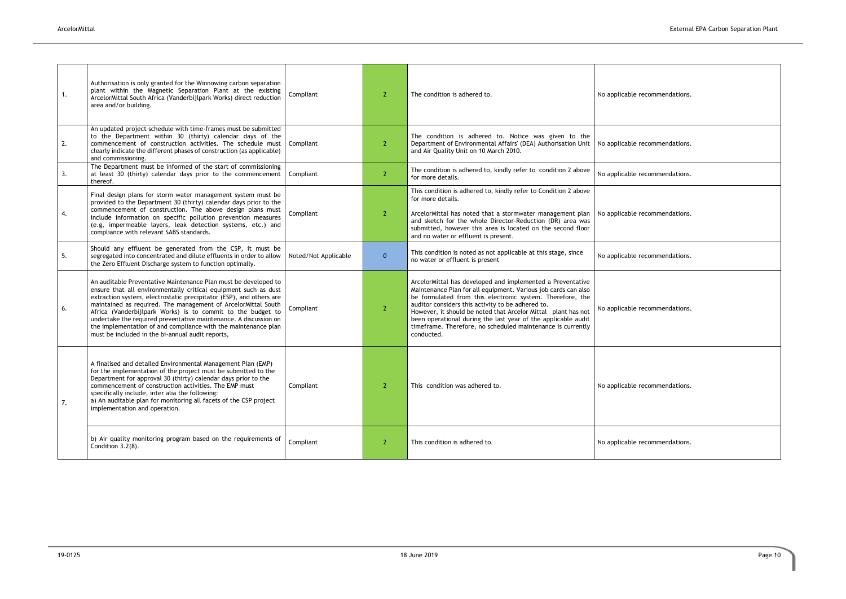| 1. | Authorisation is only granted for the Winnowing carbon separation<br>plant within the Magnetic Separation Plant at the existing<br>ArcelorMittal South Africa (Vanderbijlpark Works) direct reduction<br>area and/or building.                                                                                                                                                                                                                                                                                                      | Compliant            | $\overline{2}$ | The condition is adhered to.                                                                                                                                                                                                                                                                                                                                                                                                                                  | No applicable recommendations. |
|----|-------------------------------------------------------------------------------------------------------------------------------------------------------------------------------------------------------------------------------------------------------------------------------------------------------------------------------------------------------------------------------------------------------------------------------------------------------------------------------------------------------------------------------------|----------------------|----------------|---------------------------------------------------------------------------------------------------------------------------------------------------------------------------------------------------------------------------------------------------------------------------------------------------------------------------------------------------------------------------------------------------------------------------------------------------------------|--------------------------------|
| 2. | An updated project schedule with time-frames must be submitted<br>to the Department within 30 (thirty) calendar days of the<br>commencement of construction activities. The schedule must<br>clearly indicate the different phases of construction (as applicable)<br>and commissioning.                                                                                                                                                                                                                                            | Compliant            | $\overline{2}$ | The condition is adhered to. Notice was given to the<br>Department of Environmental Affairs' (DEA) Authorisation Unit<br>and Air Quality Unit on 10 March 2010.                                                                                                                                                                                                                                                                                               | No applicable recommendations. |
| 3. | The Department must be informed of the start of commissioning<br>at least 30 (thirty) calendar days prior to the commencement<br>thereof.                                                                                                                                                                                                                                                                                                                                                                                           | Compliant            | $\overline{2}$ | The condition is adhered to, kindly refer to condition 2 above<br>for more details.                                                                                                                                                                                                                                                                                                                                                                           | No applicable recommendations. |
| 4. | Final design plans for storm water management system must be<br>provided to the Department 30 (thirty) calendar days prior to the<br>commencement of construction. The above design plans must<br>include information on specific pollution prevention measures<br>(e.g, impermeable layers, leak detection systems, etc.) and<br>compliance with relevant SABS standards.                                                                                                                                                          | Compliant            | 2              | This condition is adhered to, kindly refer to Condition 2 above<br>for more details.<br>ArcelorMittal has noted that a stormwater management plan<br>and sketch for the whole Director-Reduction (DR) area was<br>submitted, however this area is located on the second floor<br>and no water or effluent is present.                                                                                                                                         | No applicable recommendations. |
| 5. | Should any effluent be generated from the CSP, it must be<br>segregated into concentrated and dilute effluents in order to allow<br>the Zero Effluent Discharge system to function optimally.                                                                                                                                                                                                                                                                                                                                       | Noted/Not Applicable | $\mathbf{0}$   | This condition is noted as not applicable at this stage, since<br>no water or effluent is present                                                                                                                                                                                                                                                                                                                                                             | No applicable recommendations. |
| 6. | An auditable Preventative Maintenance Plan must be developed to<br>ensure that all environmentally critical equipment such as dust<br>extraction system, electrostatic precipitator (ESP), and others are<br>maintained as required. The management of ArcelorMittal South<br>Africa (Vanderbijlpark Works) is to commit to the budget to<br>undertake the required preventative maintenance. A discussion on<br>the implementation of and compliance with the maintenance plan<br>must be included in the bi-annual audit reports, | Compliant            | <sup>2</sup>   | ArcelorMittal has developed and implemented a Preventative<br>Maintenance Plan for all equipment. Various job cards can also<br>be formulated from this electronic system. Therefore, the<br>auditor considers this activity to be adhered to.<br>However, it should be noted that Arcelor Mittal plant has not<br>been operational during the last year of the applicable audit<br>timeframe. Therefore, no scheduled maintenance is currently<br>conducted. | No applicable recommendations. |
| 7. | A finalised and detailed Environmental Management Plan (EMP)<br>for the implementation of the project must be submitted to the<br>Department for approval 30 (thirty) calendar days prior to the<br>commencement of construction activities. The EMP must<br>specifically include, inter alia the following:<br>a) An auditable plan for monitoring all facets of the CSP project<br>implementation and operation.                                                                                                                  | Compliant            | -2             | This condition was adhered to.                                                                                                                                                                                                                                                                                                                                                                                                                                | No applicable recommendations. |
|    | b) Air quality monitoring program based on the requirements of<br>Condition 3.2(8).                                                                                                                                                                                                                                                                                                                                                                                                                                                 | Compliant            | $\overline{2}$ | This condition is adhered to.                                                                                                                                                                                                                                                                                                                                                                                                                                 | No applicable recommendations. |

| No applicable recommendations. |
|--------------------------------|
| No applicable recommendations. |
| No applicable recommendations. |
| No applicable recommendations. |
| No applicable recommendations. |
| No applicable recommendations. |
| No applicable recommendations. |
| No applicable recommendations. |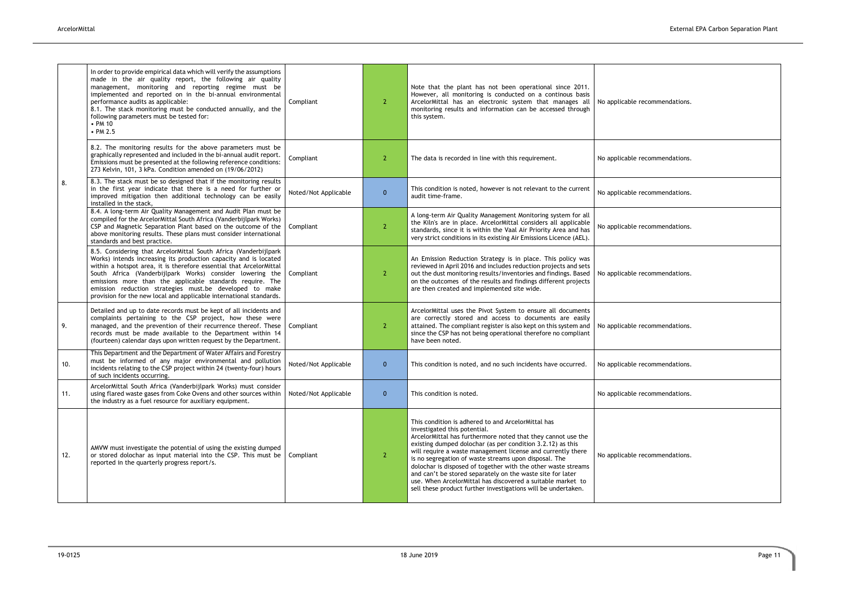|     | In order to provide empirical data which will verify the assumptions<br>made in the air quality report, the following air quality<br>management, monitoring and reporting regime must be<br>implemented and reported on in the bi-annual environmental<br>performance audits as applicable:<br>8.1. The stack monitoring must be conducted annually, and the<br>following parameters must be tested for:<br>• PM 10<br>$\cdot$ PM 2.5                                   | Compliant            | $\mathbf{2}^{\circ}$ | Note that the plant has not been operational since 2011.<br>However, all monitoring is conducted on a continous basis<br>ArcelorMittal has an electronic system that manages all<br>monitoring results and information can be accessed through<br>this system.                                                                                                                                                                                                                                                                                                                                          | No applicable recommendations. |
|-----|-------------------------------------------------------------------------------------------------------------------------------------------------------------------------------------------------------------------------------------------------------------------------------------------------------------------------------------------------------------------------------------------------------------------------------------------------------------------------|----------------------|----------------------|---------------------------------------------------------------------------------------------------------------------------------------------------------------------------------------------------------------------------------------------------------------------------------------------------------------------------------------------------------------------------------------------------------------------------------------------------------------------------------------------------------------------------------------------------------------------------------------------------------|--------------------------------|
|     | 8.2. The monitoring results for the above parameters must be<br>graphically represented and included in the bi-annual audit report.<br>Emissions must be presented at the following reference conditions:<br>273 Kelvin, 101, 3 kPa. Condition amended on (19/06/2012)                                                                                                                                                                                                  | Compliant            | $\overline{2}$       | The data is recorded in line with this requirement.                                                                                                                                                                                                                                                                                                                                                                                                                                                                                                                                                     | No applicable recommendations. |
| 8.  | 8.3. The stack must be so designed that if the monitoring results<br>in the first year indicate that there is a need for further or<br>improved mitigation then additional technology can be easily<br>installed in the stack,                                                                                                                                                                                                                                          | Noted/Not Applicable | $\mathbf{0}$         | This condition is noted, however is not relevant to the current<br>audit time-frame.                                                                                                                                                                                                                                                                                                                                                                                                                                                                                                                    | No applicable recommendations. |
|     | 8.4. A long-term Air Quality Management and Audit Plan must be<br>compiled for the ArcelorMittal South Africa (Vanderbijlpark Works)<br>CSP and Magnetic Separation Plant based on the outcome of the<br>above monitoring results. These plans must consider international<br>standards and best practice.                                                                                                                                                              | Compliant            | $\mathbf{2}$         | A long-term Air Quality Management Monitoring system for all<br>the Kiln's are in place. ArcelorMittal considers all applicable<br>standards, since it is within the Vaal Air Priority Area and has<br>very strict conditions in its existing Air Emissions Licence (AEL).                                                                                                                                                                                                                                                                                                                              | No applicable recommendations. |
|     | 8.5. Considering that ArcelorMittal South Africa (Vanderbijlpark<br>Works) intends increasing its production capacity and is located<br>within a hotspot area, it is therefore essential that ArcelorMittal<br>South Africa (Vanderbijlpark Works) consider lowering the<br>emissions more than the applicable standards require. The<br>emission reduction strategies must.be developed to make<br>provision for the new local and applicable international standards. | Compliant            | $\mathbf{2}$         | An Emission Reduction Strategy is in place. This policy was<br>reviewed in April 2016 and includes reduction projects and sets<br>out the dust monitoring results/inventories and findings. Based<br>on the outcomes of the results and findings different projects<br>are then created and implemented site wide.                                                                                                                                                                                                                                                                                      | No applicable recommendations. |
| 9.  | Detailed and up to date records must be kept of all incidents and<br>complaints pertaining to the CSP project, how these were<br>managed, and the prevention of their recurrence thereof. These<br>records must be made available to the Department within 14<br>(fourteen) calendar days upon written request by the Department.                                                                                                                                       | Compliant            | 2                    | ArcelorMittal uses the Pivot System to ensure all documents<br>are correctly stored and access to documents are easily<br>attained. The compliant register is also kept on this system and<br>since the CSP has not being operational therefore no compliant<br>have been noted.                                                                                                                                                                                                                                                                                                                        | No applicable recommendations. |
| 10. | This Department and the Department of Water Affairs and Forestry<br>must be informed of any major environmental and pollution<br>incidents relating to the CSP project within 24 (twenty-four) hours<br>of such incidents occurring.                                                                                                                                                                                                                                    | Noted/Not Applicable | $\mathbf{0}$         | This condition is noted, and no such incidents have occurred.                                                                                                                                                                                                                                                                                                                                                                                                                                                                                                                                           | No applicable recommendations. |
| 11. | ArcelorMittal South Africa (Vanderbijlpark Works) must consider<br>using flared waste gases from Coke Ovens and other sources within<br>the industry as a fuel resource for auxiliary equipment.                                                                                                                                                                                                                                                                        | Noted/Not Applicable | $\mathbf{0}$         | This condition is noted.                                                                                                                                                                                                                                                                                                                                                                                                                                                                                                                                                                                | No applicable recommendations. |
| 12. | AMVW must investigate the potential of using the existing dumped<br>or stored dolochar as input material into the CSP. This must be<br>reported in the quarterly progress report/s.                                                                                                                                                                                                                                                                                     | Compliant            | $\overline{2}$       | This condition is adhered to and ArcelorMittal has<br>investigated this potential.<br>ArcelorMittal has furthermore noted that they cannot use the<br>existing dumped dolochar (as per condition 3.2.12) as this<br>will require a waste management license and currently there<br>is no segregation of waste streams upon disposal. The<br>dolochar is disposed of together with the other waste streams<br>and can't be stored separately on the waste site for later<br>use. When ArcelorMittal has discovered a suitable market to<br>sell these product further investigations will be undertaken. | No applicable recommendations. |

| No applicable recommendations.<br>No applicable recommendations.<br>No applicable recommendations.<br>No applicable recommendations.<br>No applicable recommendations.<br>No applicable recommendations.<br>No applicable recommendations.<br>No applicable recommendations.<br>No applicable recommendations. |  |
|----------------------------------------------------------------------------------------------------------------------------------------------------------------------------------------------------------------------------------------------------------------------------------------------------------------|--|
|                                                                                                                                                                                                                                                                                                                |  |
|                                                                                                                                                                                                                                                                                                                |  |
|                                                                                                                                                                                                                                                                                                                |  |
|                                                                                                                                                                                                                                                                                                                |  |
|                                                                                                                                                                                                                                                                                                                |  |
|                                                                                                                                                                                                                                                                                                                |  |
|                                                                                                                                                                                                                                                                                                                |  |
|                                                                                                                                                                                                                                                                                                                |  |
|                                                                                                                                                                                                                                                                                                                |  |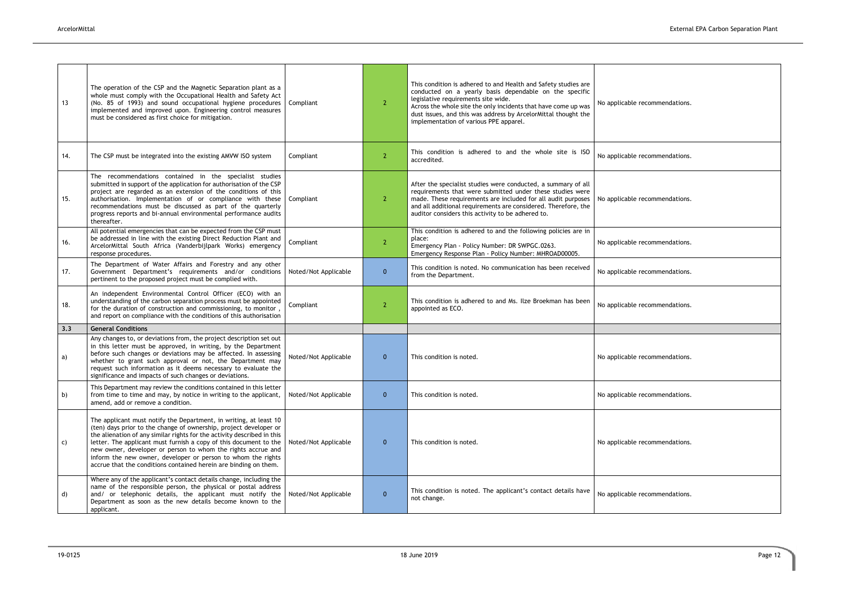| No applicable recommendations. |
|--------------------------------|
| No applicable recommendations. |
| No applicable recommendations. |
| No applicable recommendations. |
| No applicable recommendations. |
| No applicable recommendations. |
|                                |
| No applicable recommendations. |
| No applicable recommendations. |
| No applicable recommendations. |
| No applicable recommendations. |
|                                |

| 13  | The operation of the CSP and the Magnetic Separation plant as a<br>whole must comply with the Occupational Health and Safety Act<br>(No. 85 of 1993) and sound occupational hygiene procedures<br>implemented and improved upon. Engineering control measures<br>must be considered as first choice for mitigation.                                                                                                                                                                        | Compliant            | $\mathbf{2}$   | This condition is adhered to and Health and Safety studies are<br>conducted on a yearly basis dependable on the specific<br>legislative requirements site wide.<br>Across the whole site the only incidents that have come up was<br>dust issues, and this was address by ArcelorMittal thought the<br>implementation of various PPE apparel. | No applicable recommendations. |
|-----|--------------------------------------------------------------------------------------------------------------------------------------------------------------------------------------------------------------------------------------------------------------------------------------------------------------------------------------------------------------------------------------------------------------------------------------------------------------------------------------------|----------------------|----------------|-----------------------------------------------------------------------------------------------------------------------------------------------------------------------------------------------------------------------------------------------------------------------------------------------------------------------------------------------|--------------------------------|
| 14. | The CSP must be integrated into the existing AMVW ISO system                                                                                                                                                                                                                                                                                                                                                                                                                               | Compliant            | $\overline{2}$ | This condition is adhered to and the whole site is ISO<br>accredited.                                                                                                                                                                                                                                                                         | No applicable recommendations. |
| 15. | The recommendations contained in the specialist studies<br>submitted in support of the application for authorisation of the CSP<br>project are regarded as an extension of the conditions of this<br>authorisation. Implementation of or compliance with these<br>recommendations must be discussed as part of the quarterly<br>progress reports and bi-annual environmental performance audits<br>thereafter.                                                                             | Compliant            | $\mathbf{2}$   | After the specialist studies were conducted, a summary of all<br>requirements that were submitted under these studies were<br>made. These requirements are included for all audit purposes<br>and all additional requirements are considered. Therefore, the<br>auditor considers this activity to be adhered to.                             | No applicable recommendations. |
| 16. | All potential emergencies that can be expected from the CSP must<br>be addressed in line with the existing Direct Reduction Plant and<br>ArcelorMittal South Africa (Vanderbijlpark Works) emergency<br>response procedures.                                                                                                                                                                                                                                                               | Compliant            | $\overline{2}$ | This condition is adhered to and the following policies are in<br>place:<br>Emergency Plan - Policy Number: DR SWPGC.0263.<br>Emergency Response Plan - Policy Number: MHROAD00005.                                                                                                                                                           | No applicable recommendations. |
| 17. | The Department of Water Affairs and Forestry and any other<br>Government Department's requirements and/or conditions<br>pertinent to the proposed project must be complied with.                                                                                                                                                                                                                                                                                                           | Noted/Not Applicable | $\mathbf{0}$   | This condition is noted. No communication has been received<br>from the Department.                                                                                                                                                                                                                                                           | No applicable recommendations. |
| 18. | An independent Environmental Control Officer (ECO) with an<br>understanding of the carbon separation process must be appointed<br>for the duration of construction and commissioning, to monitor,<br>and report on compliance with the conditions of this authorisation                                                                                                                                                                                                                    | Compliant            | 2 <sup>2</sup> | This condition is adhered to and Ms. Ilze Broekman has been<br>appointed as ECO.                                                                                                                                                                                                                                                              | No applicable recommendations. |
| 3.3 | <b>General Conditions</b>                                                                                                                                                                                                                                                                                                                                                                                                                                                                  |                      |                |                                                                                                                                                                                                                                                                                                                                               |                                |
| a)  | Any changes to, or deviations from, the project description set out<br>in this letter must be approved, in writing, by the Department<br>before such changes or deviations may be affected. In assessing<br>whether to grant such approval or not, the Department may<br>request such information as it deems necessary to evaluate the<br>significance and impacts of such changes or deviations.                                                                                         | Noted/Not Applicable | $\mathbf{0}$   | This condition is noted.                                                                                                                                                                                                                                                                                                                      | No applicable recommendations. |
| b)  | This Department may review the conditions contained in this letter<br>from time to time and may, by notice in writing to the applicant,<br>amend, add or remove a condition.                                                                                                                                                                                                                                                                                                               | Noted/Not Applicable | $\mathbf{0}$   | This condition is noted.                                                                                                                                                                                                                                                                                                                      | No applicable recommendations. |
| C)  | The applicant must notify the Department, in writing, at least 10<br>(ten) days prior to the change of ownership, project developer or<br>the alienation of any similar rights for the activity described in this<br>letter. The applicant must furnish a copy of this document to the<br>new owner, developer or person to whom the rights accrue and<br>inform the new owner, developer or person to whom the rights<br>accrue that the conditions contained herein are binding on them. | Noted/Not Applicable | $\mathbf{0}$   | This condition is noted.                                                                                                                                                                                                                                                                                                                      | No applicable recommendations. |
| d)  | Where any of the applicant's contact details change, including the<br>name of the responsible person, the physical or postal address<br>and/ or telephonic details, the applicant must notify the<br>Department as soon as the new details become known to the<br>applicant.                                                                                                                                                                                                               | Noted/Not Applicable | $\mathbf{0}$   | This condition is noted. The applicant's contact details have<br>not change.                                                                                                                                                                                                                                                                  | No applicable recommendations. |
|     |                                                                                                                                                                                                                                                                                                                                                                                                                                                                                            |                      |                |                                                                                                                                                                                                                                                                                                                                               |                                |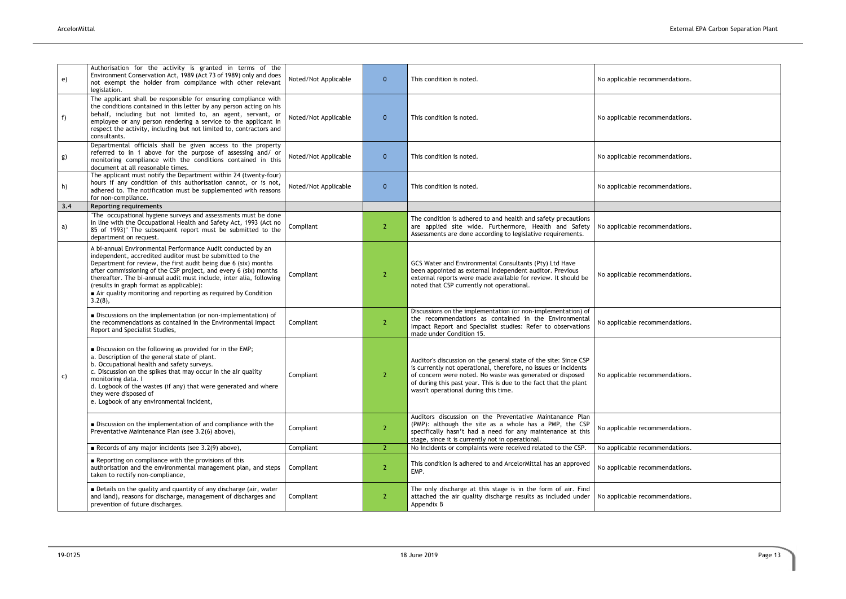| e) | Authorisation for the activity is granted in terms of the<br>Environment Conservation Act, 1989 (Act 73 of 1989) only and does<br>not exempt the holder from compliance with other relevant<br>legislation.                                                                                                                                                                                                                                                      | Noted/Not Applicable | $\mathbf{0}$   | This condition is noted.                                                                                                                                                                                                                                                                                     | No applicable recommendations. |
|----|------------------------------------------------------------------------------------------------------------------------------------------------------------------------------------------------------------------------------------------------------------------------------------------------------------------------------------------------------------------------------------------------------------------------------------------------------------------|----------------------|----------------|--------------------------------------------------------------------------------------------------------------------------------------------------------------------------------------------------------------------------------------------------------------------------------------------------------------|--------------------------------|
| f) | The applicant shall be responsible for ensuring compliance with<br>the conditions contained in this letter by any person acting on his<br>behalf, including but not limited to, an agent, servant, or<br>employee or any person rendering a service to the applicant in<br>respect the activity, including but not limited to, contractors and<br>consultants.                                                                                                   | Noted/Not Applicable | $\mathbf{0}$   | This condition is noted.                                                                                                                                                                                                                                                                                     | No applicable recommendations. |
| g) | Departmental officials shall be given access to the property<br>referred to in 1 above for the purpose of assessing and/ or<br>monitoring compliance with the conditions contained in this<br>document at all reasonable times.                                                                                                                                                                                                                                  | Noted/Not Applicable | $\mathbf{0}$   | This condition is noted.                                                                                                                                                                                                                                                                                     | No applicable recommendations. |
| h) | The applicant must notify the Department within 24 (twenty-four)<br>hours if any condition of this authorisation cannot, or is not,<br>adhered to. The notification must be supplemented with reasons<br>for non-compliance.                                                                                                                                                                                                                                     | Noted/Not Applicable | $\mathbf{0}$   | This condition is noted.                                                                                                                                                                                                                                                                                     | No applicable recommendations. |
|    | 3.4<br><b>Reporting requirements</b>                                                                                                                                                                                                                                                                                                                                                                                                                             |                      |                |                                                                                                                                                                                                                                                                                                              |                                |
| a) | "The occupational hygiene surveys and assessments must be done<br>in line with the Occupational Health and Safety Act, 1993 (Act no<br>85 of 1993)" The subsequent report must be submitted to the<br>department on request.                                                                                                                                                                                                                                     | Compliant            | <sup>2</sup>   | The condition is adhered to and health and safety precautions<br>are applied site wide. Furthermore, Health and Safety<br>Assessments are done according to legislative requirements.                                                                                                                        | No applicable recommendations. |
| C) | A bi-annual Environmental Performance Audit conducted by an<br>independent, accredited auditor must be submitted to the<br>Department for review, the first audit being due 6 (six) months<br>after commissioning of the CSP project, and every 6 (six) months<br>thereafter. The bi-annual audit must include, inter alia, following<br>(results in graph format as applicable):<br>Air quality monitoring and reporting as required by Condition<br>$3.2(8)$ , | Compliant            | $\overline{2}$ | GCS Water and Environmental Consultants (Pty) Ltd Have<br>been appointed as external independent auditor. Previous<br>external reports were made available for review. It should be<br>noted that CSP currently not operational.                                                                             | No applicable recommendations. |
|    | Discussions on the implementation (or non-implementation) of<br>the recommendations as contained in the Environmental Impact<br>Report and Specialist Studies,                                                                                                                                                                                                                                                                                                   | Compliant            | $\overline{2}$ | Discussions on the implementation (or non-implementation) of<br>the recommendations as contained in the Environmental<br>Impact Report and Specialist studies: Refer to observations<br>made under Condition 15.                                                                                             | No applicable recommendations. |
|    | ■ Discussion on the following as provided for in the EMP;<br>a. Description of the general state of plant.<br>b. Occupational health and safety surveys.<br>c. Discussion on the spikes that may occur in the air quality<br>monitoring data. I<br>d. Logbook of the wastes (if any) that were generated and where<br>they were disposed of<br>e. Logbook of any environmental incident,                                                                         | Compliant            | 2              | Auditor's discussion on the general state of the site: Since CSP<br>is currently not operational, therefore, no issues or incidents<br>of concern were noted. No waste was generated or disposed<br>of during this past year. This is due to the fact that the plant<br>wasn't operational during this time. | No applicable recommendations. |
|    | Discussion on the implementation of and compliance with the<br>Preventative Maintenance Plan (see 3.2(6) above),                                                                                                                                                                                                                                                                                                                                                 | Compliant            | $\overline{2}$ | Auditors discussion on the Preventative Maintanance Plan<br>(PMP): although the site as a whole has a PMP, the CSP<br>specifically hasn't had a need for any maintenance at this<br>stage, since it is currently not in operational.                                                                         | No applicable recommendations. |
|    | Records of any major incidents (see $3.2(9)$ above),                                                                                                                                                                                                                                                                                                                                                                                                             | Compliant            | 2 <sup>1</sup> | No Incidents or complaints were received related to the CSP.                                                                                                                                                                                                                                                 | No applicable recommendations. |
|    | Reporting on compliance with the provisions of this<br>authorisation and the environmental management plan, and steps<br>taken to rectify non-compliance,                                                                                                                                                                                                                                                                                                        | Compliant            | $\overline{2}$ | This condition is adhered to and ArcelorMittal has an approved<br>EMP.                                                                                                                                                                                                                                       | No applicable recommendations. |
|    | Details on the quality and quantity of any discharge (air, water<br>and land), reasons for discharge, management of discharges and<br>prevention of future discharges.                                                                                                                                                                                                                                                                                           | Compliant            | $\mathbf{2}$   | The only discharge at this stage is in the form of air. Find<br>attached the air quality discharge results as included under<br>Appendix B                                                                                                                                                                   | No applicable recommendations. |

| No applicable recommendations. |  |
|--------------------------------|--|
| No applicable recommendations. |  |
| No applicable recommendations. |  |
| No applicable recommendations. |  |
|                                |  |
| No applicable recommendations. |  |
| No applicable recommendations. |  |
| No applicable recommendations. |  |
| No applicable recommendations. |  |
| No applicable recommendations. |  |
| No applicable recommendations. |  |
| No applicable recommendations. |  |
| No applicable recommendations. |  |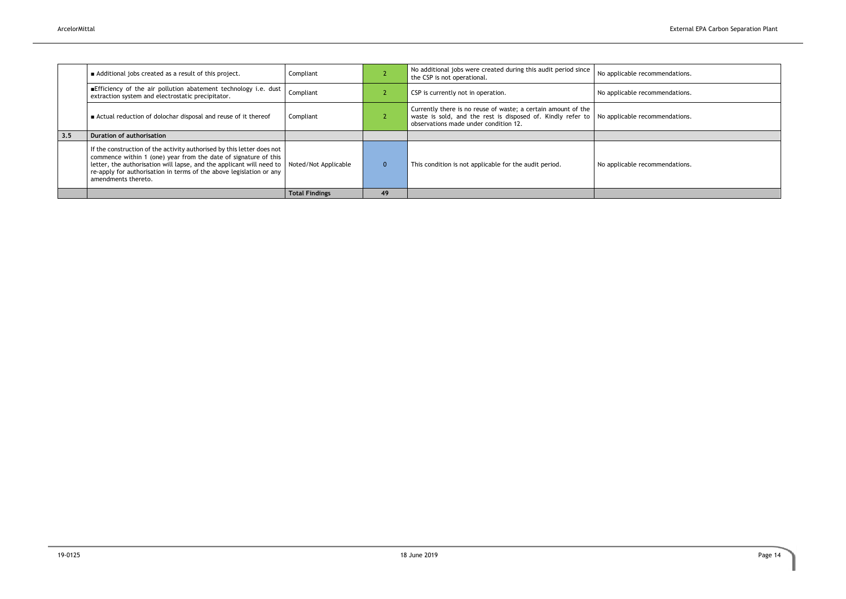|     |                                                                                                                                                                                                                                                                                                                 | <b>Total Findings</b> | 49           |                                                                                                                                                                       |                                |
|-----|-----------------------------------------------------------------------------------------------------------------------------------------------------------------------------------------------------------------------------------------------------------------------------------------------------------------|-----------------------|--------------|-----------------------------------------------------------------------------------------------------------------------------------------------------------------------|--------------------------------|
|     | If the construction of the activity authorised by this letter does not<br>commence within 1 (one) year from the date of signature of this<br>letter, the authorisation will lapse, and the applicant will need to<br>re-apply for authorisation in terms of the above legislation or any<br>amendments thereto. | Noted/Not Applicable  | $\mathbf{0}$ | This condition is not applicable for the audit period.                                                                                                                | No applicable recommendations. |
| 3.5 | <b>Duration of authorisation</b>                                                                                                                                                                                                                                                                                |                       |              |                                                                                                                                                                       |                                |
|     | ■ Actual reduction of dolochar disposal and reuse of it thereof                                                                                                                                                                                                                                                 | Compliant             |              | Currently there is no reuse of waste; a certain amount of the<br>waste is sold, and the rest is disposed of. Kindly refer to<br>observations made under condition 12. | No applicable recommendations. |
|     | Efficiency of the air pollution abatement technology i.e. dust<br>extraction system and electrostatic precipitator.                                                                                                                                                                                             | Compliant             |              | CSP is currently not in operation.                                                                                                                                    | No applicable recommendations. |
|     | Additional jobs created as a result of this project.                                                                                                                                                                                                                                                            | Compliant             |              | No additional jobs were created during this audit period since<br>the CSP is not operational.                                                                         | No applicable recommendations. |
|     |                                                                                                                                                                                                                                                                                                                 |                       |              |                                                                                                                                                                       |                                |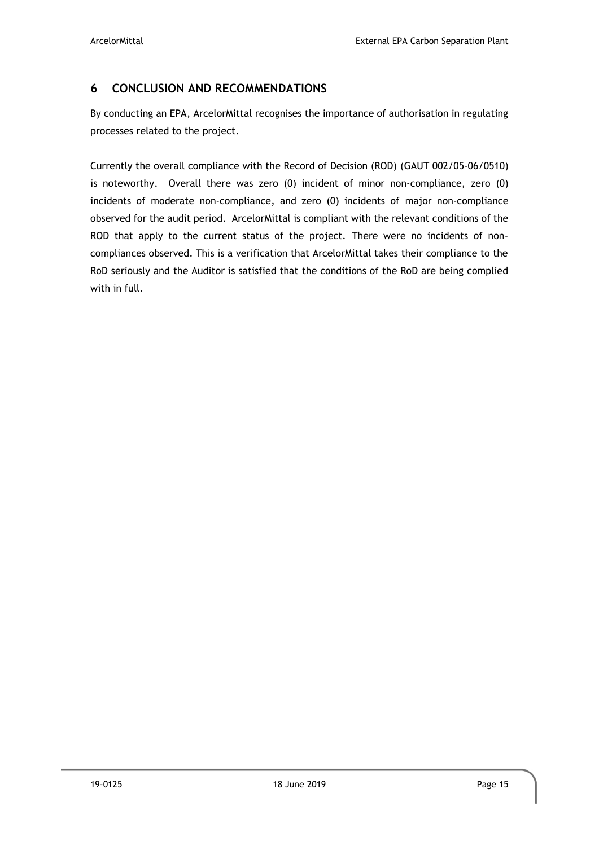# <span id="page-19-0"></span>**6 CONCLUSION AND RECOMMENDATIONS**

By conducting an EPA, ArcelorMittal recognises the importance of authorisation in regulating processes related to the project.

Currently the overall compliance with the Record of Decision (ROD) (GAUT 002/05-06/0510) is noteworthy. Overall there was zero (0) incident of minor non-compliance, zero (0) incidents of moderate non-compliance, and zero (0) incidents of major non-compliance observed for the audit period. ArcelorMittal is compliant with the relevant conditions of the ROD that apply to the current status of the project. There were no incidents of noncompliances observed. This is a verification that ArcelorMittal takes their compliance to the RoD seriously and the Auditor is satisfied that the conditions of the RoD are being complied with in full.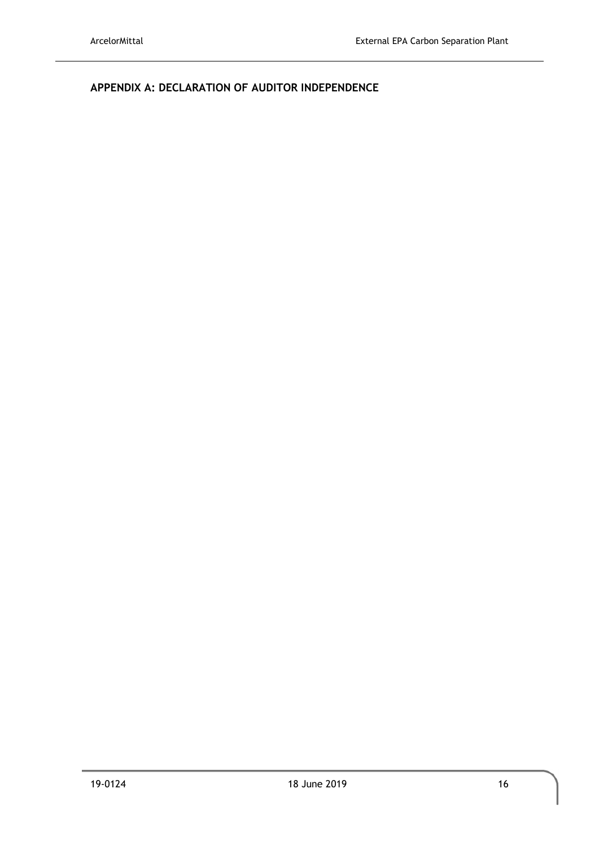<span id="page-20-0"></span>**APPENDIX A: DECLARATION OF AUDITOR INDEPENDENCE**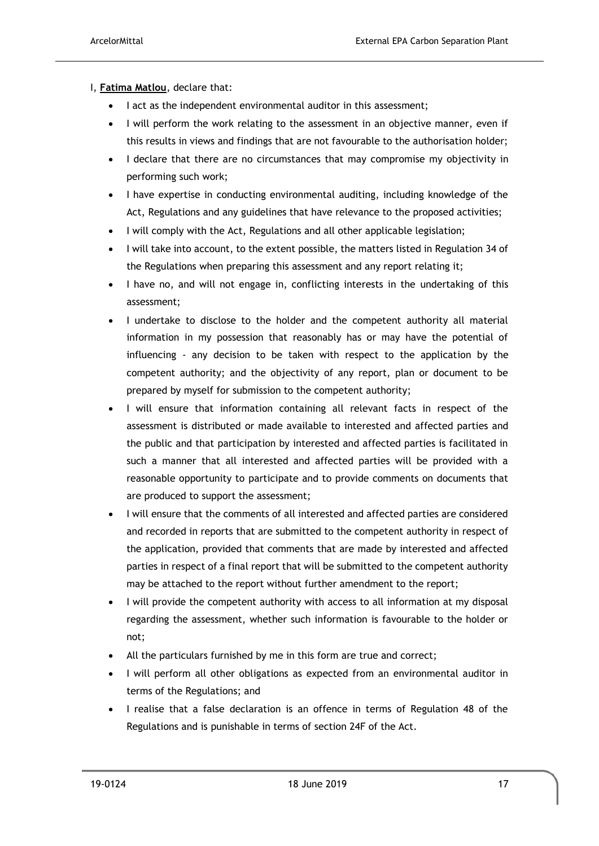#### I, **Fatima Matlou**, declare that:

- I act as the independent environmental auditor in this assessment;
- I will perform the work relating to the assessment in an objective manner, even if this results in views and findings that are not favourable to the authorisation holder;
- I declare that there are no circumstances that may compromise my objectivity in performing such work;
- I have expertise in conducting environmental auditing, including knowledge of the Act, Regulations and any guidelines that have relevance to the proposed activities;
- I will comply with the Act, Regulations and all other applicable legislation;
- I will take into account, to the extent possible, the matters listed in Regulation 34 of the Regulations when preparing this assessment and any report relating it;
- I have no, and will not engage in, conflicting interests in the undertaking of this assessment;
- I undertake to disclose to the holder and the competent authority all material information in my possession that reasonably has or may have the potential of influencing - any decision to be taken with respect to the application by the competent authority; and the objectivity of any report, plan or document to be prepared by myself for submission to the competent authority;
- I will ensure that information containing all relevant facts in respect of the assessment is distributed or made available to interested and affected parties and the public and that participation by interested and affected parties is facilitated in such a manner that all interested and affected parties will be provided with a reasonable opportunity to participate and to provide comments on documents that are produced to support the assessment;
- I will ensure that the comments of all interested and affected parties are considered and recorded in reports that are submitted to the competent authority in respect of the application, provided that comments that are made by interested and affected parties in respect of a final report that will be submitted to the competent authority may be attached to the report without further amendment to the report;
- I will provide the competent authority with access to all information at my disposal regarding the assessment, whether such information is favourable to the holder or not;
- All the particulars furnished by me in this form are true and correct;
- I will perform all other obligations as expected from an environmental auditor in terms of the Regulations; and
- I realise that a false declaration is an offence in terms of Regulation 48 of the Regulations and is punishable in terms of section 24F of the Act.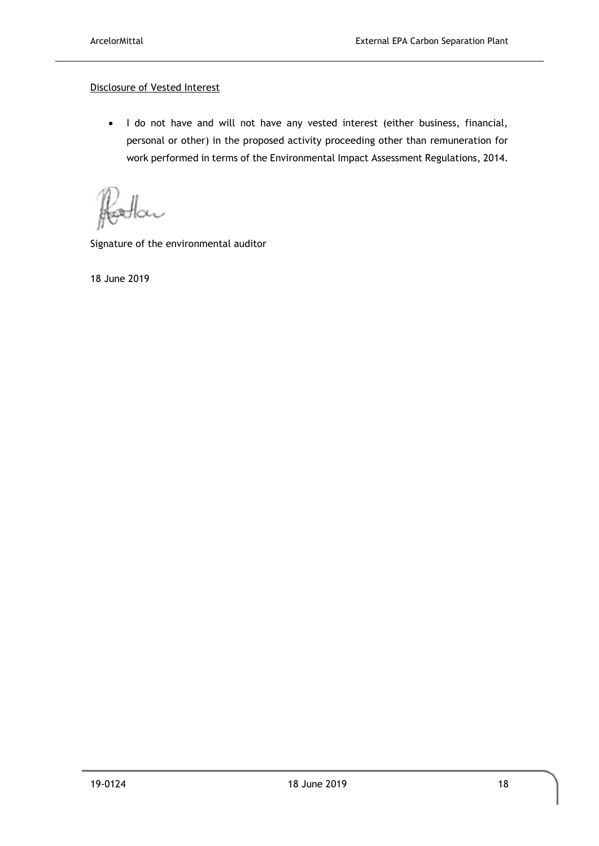#### Disclosure of Vested Interest

• I do not have and will not have any vested interest (either business, financial, personal or other) in the proposed activity proceeding other than remuneration for work performed in terms of the Environmental Impact Assessment Regulations, 2014.

XV

Signature of the environmental auditor

18 June 2019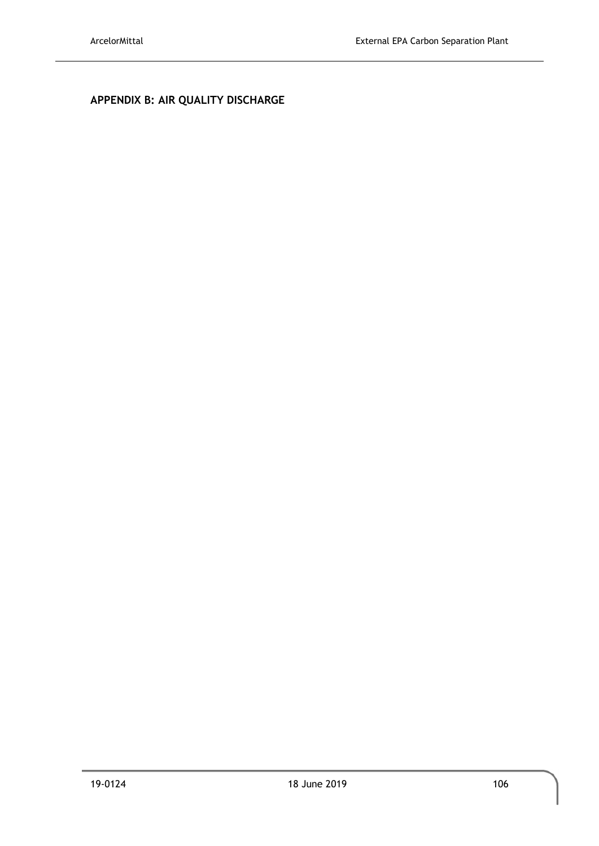# <span id="page-23-0"></span>**APPENDIX B: AIR QUALITY DISCHARGE**